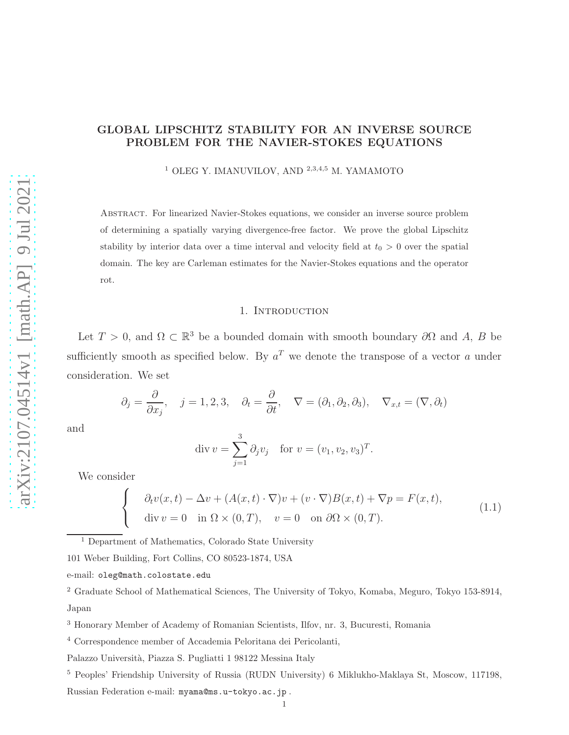# GLOBAL LIPSCHITZ STABILITY FOR AN INVERSE SOURCE PROBLEM FOR THE NAVIER-STOKES EQUATIONS

<sup>1</sup> OLEG Y. IMANUVILOV, AND <sup>2,3,4,5</sup> M. YAMAMOTO

Abstract. For linearized Navier-Stokes equations, we consider an inverse source problem of determining a spatially varying divergence-free factor. We prove the global Lipschitz stability by interior data over a time interval and velocity field at  $t_0 > 0$  over the spatial domain. The key are Carleman estimates for the Navier-Stokes equations and the operator rot.

## 1. INTRODUCTION

Let  $T > 0$ , and  $\Omega \subset \mathbb{R}^3$  be a bounded domain with smooth boundary  $\partial\Omega$  and A, B be sufficiently smooth as specified below. By  $a^T$  we denote the transpose of a vector a under consideration. We set

$$
\partial_j = \frac{\partial}{\partial x_j}, \quad j = 1, 2, 3, \quad \partial_t = \frac{\partial}{\partial t}, \quad \nabla = (\partial_1, \partial_2, \partial_3), \quad \nabla_{x,t} = (\nabla, \partial_t)
$$

and

$$
\operatorname{div} v = \sum_{j=1}^{3} \partial_j v_j \quad \text{for } v = (v_1, v_2, v_3)^T.
$$

We consider

 $\sqrt{ }$  $\frac{1}{2}$ 

 $\mathbf{I}$ 

$$
\partial_t v(x,t) - \Delta v + (A(x,t) \cdot \nabla)v + (v \cdot \nabla)B(x,t) + \nabla p = F(x,t),
$$
  
div  $v = 0$  in  $\Omega \times (0,T)$ ,  $v = 0$  on  $\partial \Omega \times (0,T)$ . (1.1)

<sup>1</sup> Department of Mathematics, Colorado State University

101 Weber Building, Fort Collins, CO 80523-1874, USA

e-mail: oleg@math.colostate.edu

<sup>2</sup> Graduate School of Mathematical Sciences, The University of Tokyo, Komaba, Meguro, Tokyo 153-8914, Japan

<sup>3</sup> Honorary Member of Academy of Romanian Scientists, Ilfov, nr. 3, Bucuresti, Romania

<sup>4</sup> Correspondence member of Accademia Peloritana dei Pericolanti,

Palazzo Universit`a, Piazza S. Pugliatti 1 98122 Messina Italy

<sup>5</sup> Peoples' Friendship University of Russia (RUDN University) 6 Miklukho-Maklaya St, Moscow, 117198, Russian Federation e-mail: myama@ms.u-tokyo.ac.jp .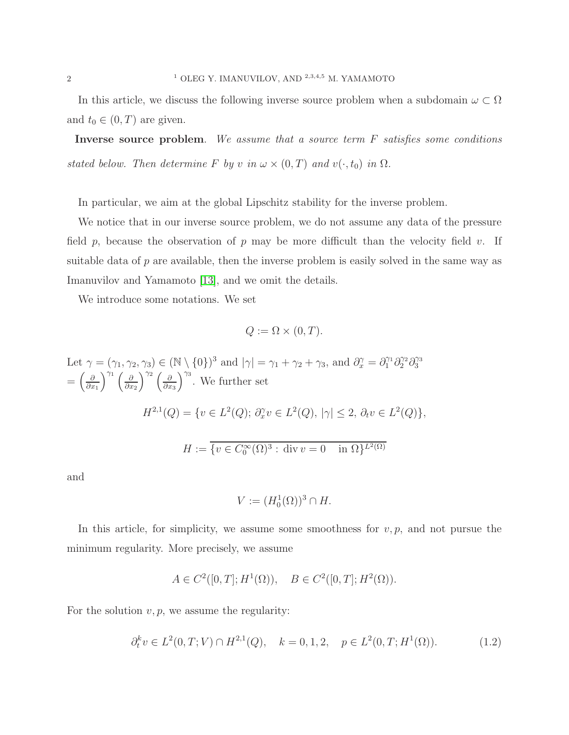In this article, we discuss the following inverse source problem when a subdomain  $\omega \subset \Omega$ and  $t_0 \in (0, T)$  are given.

Inverse source problem. We assume that a source term F satisfies some conditions stated below. Then determine F by v in  $\omega \times (0,T)$  and  $v(\cdot,t_0)$  in  $\Omega$ .

In particular, we aim at the global Lipschitz stability for the inverse problem.

We notice that in our inverse source problem, we do not assume any data of the pressure field p, because the observation of p may be more difficult than the velocity field v. If suitable data of  $p$  are available, then the inverse problem is easily solved in the same way as Imanuvilov and Yamamoto [\[13\]](#page-13-0), and we omit the details.

We introduce some notations. We set

$$
Q := \Omega \times (0, T).
$$

Let  $\gamma = (\gamma_1, \gamma_2, \gamma_3) \in (\mathbb{N} \setminus \{0\})^3$  and  $|\gamma| = \gamma_1 + \gamma_2 + \gamma_3$ , and  $\partial_x^{\gamma} = \partial_1^{\gamma_1} \partial_2^{\gamma_2} \partial_3^{\gamma_3}$  $=\left(\frac{\partial}{\partial x}\right)$  $\partial x_1$  $\int^{\gamma_1}$   $\int$   $\partial$  $\partial x_2$  $\int^{\gamma_2}$   $\int$   $\partial$  $\partial x_3$  $\int^{\gamma_3}$ . We further set  $H^{2,1}(Q) = \{v \in L^2(Q); \ \partial_x^{\gamma} v \in L^2(Q), \ |\gamma| \leq 2, \ \partial_t v \in L^2(Q) \},\$  $H := \{ v \in C_0^{\infty}(\Omega)^3 : \text{div } v = 0 \text{ in } \Omega \}^{L^2(\Omega)}$ 

and

$$
V := (H_0^1(\Omega))^3 \cap H.
$$

In this article, for simplicity, we assume some smoothness for  $v, p$ , and not pursue the minimum regularity. More precisely, we assume

$$
A \in C^2([0,T]; H^1(\Omega)), \quad B \in C^2([0,T]; H^2(\Omega)).
$$

For the solution  $v, p$ , we assume the regularity:

$$
\partial_t^k v \in L^2(0, T; V) \cap H^{2,1}(Q), \quad k = 0, 1, 2, \quad p \in L^2(0, T; H^1(\Omega)).\tag{1.2}
$$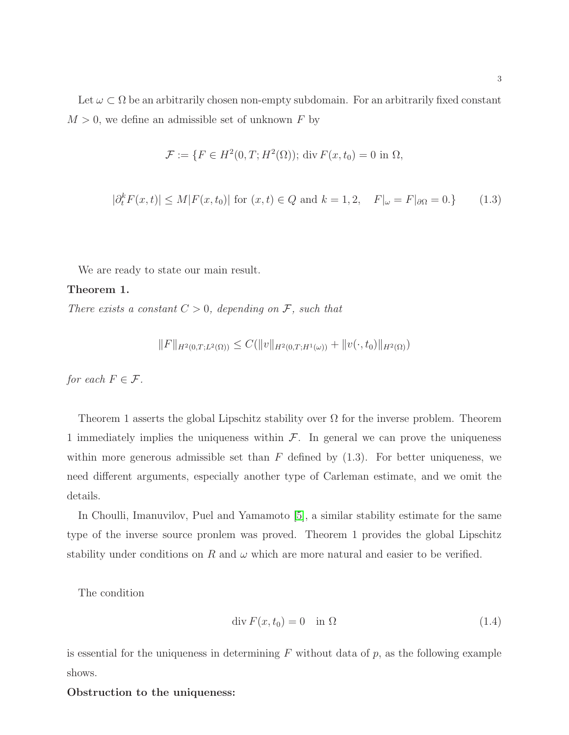3

Let  $\omega \subset \Omega$  be an arbitrarily chosen non-empty subdomain. For an arbitrarily fixed constant  $M > 0$ , we define an admissible set of unknown F by

$$
\mathcal{F} := \{ F \in H^2(0, T; H^2(\Omega)) ; \text{ div } F(x, t_0) = 0 \text{ in } \Omega,
$$

$$
|\partial_t^k F(x,t)| \le M|F(x,t_0)| \text{ for } (x,t) \in Q \text{ and } k = 1,2, \quad F|_{\omega} = F|_{\partial \Omega} = 0.
$$
 (1.3)

We are ready to state our main result.

#### Theorem 1.

There exists a constant  $C > 0$ , depending on F, such that

$$
||F||_{H^2(0,T;L^2(\Omega))} \leq C(||v||_{H^2(0,T;H^1(\omega))} + ||v(\cdot,t_0)||_{H^2(\Omega))}
$$

for each  $F \in \mathcal{F}$ .

Theorem 1 asserts the global Lipschitz stability over  $\Omega$  for the inverse problem. Theorem 1 immediately implies the uniqueness within  $\mathcal{F}$ . In general we can prove the uniqueness within more generous admissible set than  $F$  defined by  $(1.3)$ . For better uniqueness, we need different arguments, especially another type of Carleman estimate, and we omit the details.

In Choulli, Imanuvilov, Puel and Yamamoto [\[5\]](#page-13-1), a similar stability estimate for the same type of the inverse source pronlem was proved. Theorem 1 provides the global Lipschitz stability under conditions on R and  $\omega$  which are more natural and easier to be verified.

The condition

$$
\operatorname{div} F(x, t_0) = 0 \quad \text{in } \Omega \tag{1.4}
$$

is essential for the uniqueness in determining  $F$  without data of  $p$ , as the following example shows.

#### Obstruction to the uniqueness: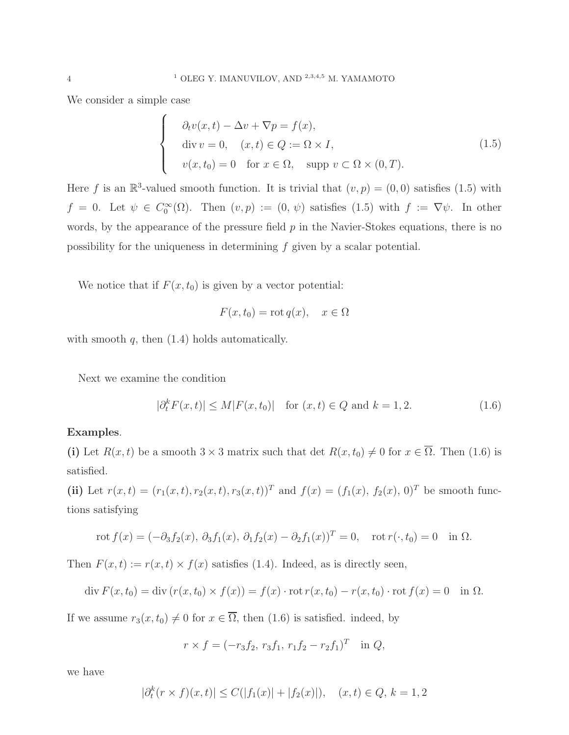We consider a simple case

$$
\begin{cases}\n\partial_t v(x,t) - \Delta v + \nabla p = f(x), \\
\text{div } v = 0, \quad (x,t) \in Q := \Omega \times I, \\
v(x,t_0) = 0 \quad \text{for } x \in \Omega, \quad \text{supp } v \subset \Omega \times (0,T).\n\end{cases}
$$
\n(1.5)

Here f is an  $\mathbb{R}^3$ -valued smooth function. It is trivial that  $(v, p) = (0, 0)$  satisfies  $(1.5)$  with  $f = 0$ . Let  $\psi \in C_0^{\infty}(\Omega)$ . Then  $(v, p) := (0, \psi)$  satisfies  $(1.5)$  with  $f := \nabla \psi$ . In other words, by the appearance of the pressure field  $p$  in the Navier-Stokes equations, there is no possibility for the uniqueness in determining f given by a scalar potential.

We notice that if  $F(x, t_0)$  is given by a vector potential:

$$
F(x, t_0) = \operatorname{rot} q(x), \quad x \in \Omega
$$

with smooth  $q$ , then  $(1.4)$  holds automatically.

Next we examine the condition

$$
|\partial_t^k F(x,t)| \le M|F(x,t_0)| \text{ for } (x,t) \in Q \text{ and } k = 1,2.
$$
 (1.6)

#### Examples.

(i) Let  $R(x,t)$  be a smooth  $3 \times 3$  matrix such that det  $R(x,t_0) \neq 0$  for  $x \in \overline{\Omega}$ . Then (1.6) is satisfied.

(ii) Let  $r(x,t) = (r_1(x,t), r_2(x,t), r_3(x,t))^T$  and  $f(x) = (f_1(x), f_2(x), 0)^T$  be smooth functions satisfying

$$
\text{rot } f(x) = (-\partial_3 f_2(x), \, \partial_3 f_1(x), \, \partial_1 f_2(x) - \partial_2 f_1(x))^T = 0, \quad \text{rot } r(\cdot, t_0) = 0 \quad \text{in } \Omega.
$$

Then  $F(x,t) := r(x,t) \times f(x)$  satisfies (1.4). Indeed, as is directly seen,

$$
\operatorname{div} F(x, t_0) = \operatorname{div} (r(x, t_0) \times f(x)) = f(x) \cdot \operatorname{rot} r(x, t_0) - r(x, t_0) \cdot \operatorname{rot} f(x) = 0 \quad \text{in } \Omega.
$$

If we assume  $r_3(x, t_0) \neq 0$  for  $x \in \overline{\Omega}$ , then (1.6) is satisfied. indeed, by

$$
r \times f = (-r_3 f_2, r_3 f_1, r_1 f_2 - r_2 f_1)^T \text{ in } Q,
$$

we have

$$
|\partial_t^k (r \times f)(x, t)| \le C(|f_1(x)| + |f_2(x)|), \quad (x, t) \in Q, \, k = 1, 2
$$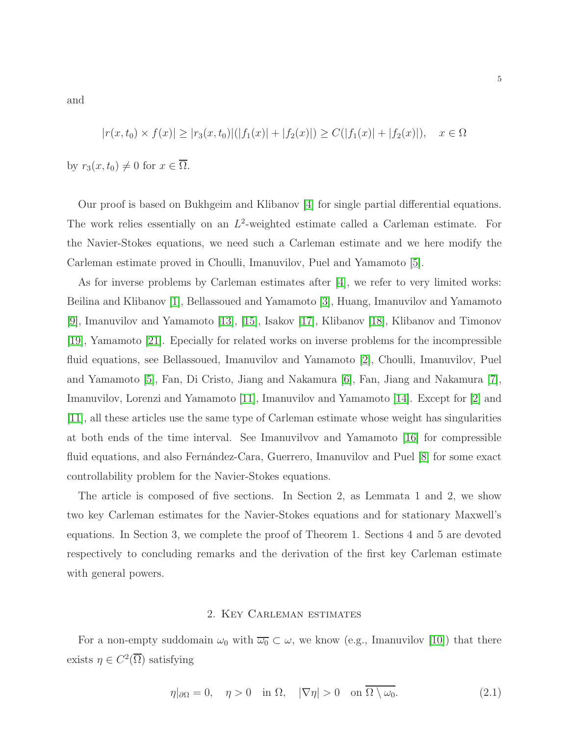and

$$
|r(x,t_0) \times f(x)| \ge |r_3(x,t_0)|(|f_1(x)| + |f_2(x)|) \ge C(|f_1(x)| + |f_2(x)|), \quad x \in \Omega
$$

by  $r_3(x, t_0) \neq 0$  for  $x \in \overline{\Omega}$ .

Our proof is based on Bukhgeim and Klibanov [\[4\]](#page-13-2) for single partial differential equations. The work relies essentially on an  $L^2$ -weighted estimate called a Carleman estimate. For the Navier-Stokes equations, we need such a Carleman estimate and we here modify the Carleman estimate proved in Choulli, Imanuvilov, Puel and Yamamoto [\[5\]](#page-13-1).

As for inverse problems by Carleman estimates after [\[4\]](#page-13-2), we refer to very limited works: Beilina and Klibanov [\[1\]](#page-13-3), Bellassoued and Yamamoto [\[3\]](#page-13-4), Huang, Imanuvilov and Yamamoto [\[9\]](#page-13-5), Imanuvilov and Yamamoto [\[13\]](#page-13-0), [\[15\]](#page-13-6), Isakov [\[17\]](#page-13-7), Klibanov [\[18\]](#page-13-8), Klibanov and Timonov [\[19\]](#page-14-0), Yamamoto [\[21\]](#page-14-1). Epecially for related works on inverse problems for the incompressible fluid equations, see Bellassoued, Imanuvilov and Yamamoto [\[2\]](#page-13-9), Choulli, Imanuvilov, Puel and Yamamoto [\[5\]](#page-13-1), Fan, Di Cristo, Jiang and Nakamura [\[6\]](#page-13-10), Fan, Jiang and Nakamura [\[7\]](#page-13-11), Imanuvilov, Lorenzi and Yamamoto [\[11\]](#page-13-12), Imanuvilov and Yamamoto [\[14\]](#page-13-13). Except for [\[2\]](#page-13-9) and [\[11\]](#page-13-12), all these articles use the same type of Carleman estimate whose weight has singularities at both ends of the time interval. See Imanuvilvov and Yamamoto [\[16\]](#page-13-14) for compressible fluid equations, and also Fernández-Cara, Guerrero, Imanuvilov and Puel [\[8\]](#page-13-15) for some exact controllability problem for the Navier-Stokes equations.

The article is composed of five sections. In Section 2, as Lemmata 1 and 2, we show two key Carleman estimates for the Navier-Stokes equations and for stationary Maxwell's equations. In Section 3, we complete the proof of Theorem 1. Sections 4 and 5 are devoted respectively to concluding remarks and the derivation of the first key Carleman estimate with general powers.

#### 2. Key Carleman estimates

For a non-empty suddomain  $\omega_0$  with  $\overline{\omega_0} \subset \omega$ , we know (e.g., Imanuvilov [\[10\]](#page-13-16)) that there exists  $\eta \in C^2(\overline{\Omega})$  satisfying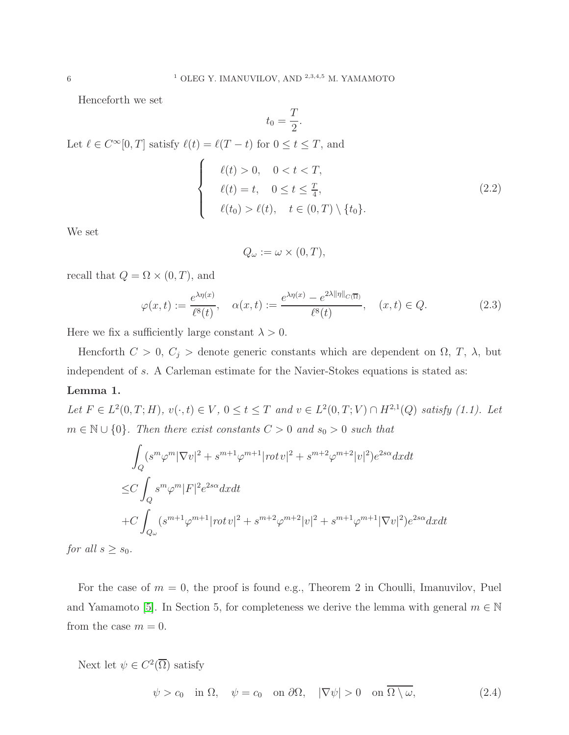Henceforth we set

$$
t_0 = \frac{T}{2}.
$$

Let  $\ell \in C^{\infty}[0,T]$  satisfy  $\ell(t) = \ell(T-t)$  for  $0 \le t \le T$ , and

 $\sqrt{ }$  $\Big\}$ 

 $\overline{\mathcal{L}}$ 

$$
\ell(t) > 0, \quad 0 < t < T,
$$
\n
$$
\ell(t) = t, \quad 0 \le t \le \frac{T}{4},
$$
\n
$$
\ell(t_0) > \ell(t), \quad t \in (0, T) \setminus \{t_0\}.
$$
\n
$$
(2.2)
$$

We set

$$
Q_{\omega} := \omega \times (0, T),
$$

recall that  $Q=\Omega\times(0,T),$  and

$$
\varphi(x,t) := \frac{e^{\lambda \eta(x)}}{\ell^8(t)}, \quad \alpha(x,t) := \frac{e^{\lambda \eta(x)} - e^{2\lambda \|\eta\|_{C(\overline{\Omega})}}}{\ell^8(t)}, \quad (x,t) \in Q. \tag{2.3}
$$

Here we fix a sufficiently large constant  $\lambda > 0$ .

Hencforth  $C > 0$ ,  $C_j >$  denote generic constants which are dependent on  $\Omega$ , T,  $\lambda$ , but independent of s. A Carleman estimate for the Navier-Stokes equations is stated as:

### Lemma 1.

Let  $F \in L^2(0,T;H)$ ,  $v(\cdot,t) \in V$ ,  $0 \le t \le T$  and  $v \in L^2(0,T;V) \cap H^{2,1}(Q)$  satisfy (1.1). Let  $m \in \mathbb{N} \cup \{0\}$ . Then there exist constants  $C > 0$  and  $s_0 > 0$  such that

$$
\int_{Q} (s^{m} \varphi^{m} |\nabla v|^{2} + s^{m+1} \varphi^{m+1} |rot v|^{2} + s^{m+2} \varphi^{m+2} |v|^{2}) e^{2s\alpha} dxdt
$$
  
\n
$$
\leq C \int_{Q} s^{m} \varphi^{m} |F|^{2} e^{2s\alpha} dxdt
$$
  
\n
$$
+ C \int_{Q_{\omega}} (s^{m+1} \varphi^{m+1} |rot v|^{2} + s^{m+2} \varphi^{m+2} |v|^{2} + s^{m+1} \varphi^{m+1} |\nabla v|^{2}) e^{2s\alpha} dxdt
$$

for all  $s \geq s_0$ .

For the case of  $m = 0$ , the proof is found e.g., Theorem 2 in Choulli, Imanuvilov, Puel and Yamamoto [\[5\]](#page-13-1). In Section 5, for completeness we derive the lemma with general  $m \in \mathbb{N}$ from the case  $m = 0$ .

Next let  $\psi \in C^2(\overline{\Omega})$  satisfy

$$
\psi > c_0 \quad \text{in } \Omega, \quad \psi = c_0 \quad \text{on } \partial\Omega, \quad |\nabla \psi| > 0 \quad \text{on } \Omega \setminus \omega,
$$
\n(2.4)

6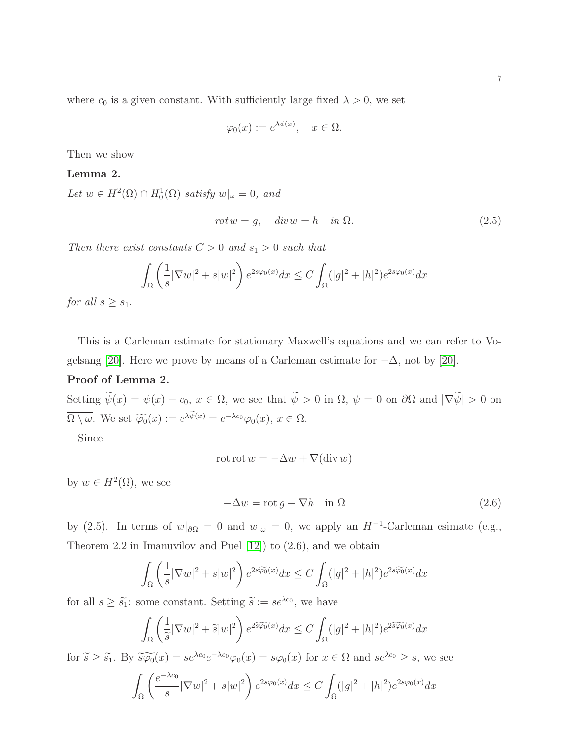where  $c_0$  is a given constant. With sufficiently large fixed  $\lambda > 0$ , we set

$$
\varphi_0(x) := e^{\lambda \psi(x)}, \quad x \in \Omega.
$$

Then we show

## Lemma 2.

Let  $w \in H^2(\Omega) \cap H_0^1(\Omega)$  satisfy  $w|_{\omega} = 0$ , and

$$
rotw = g, \quad divw = h \quad in \Omega. \tag{2.5}
$$

Then there exist constants  $C > 0$  and  $s_1 > 0$  such that

$$
\int_{\Omega} \left(\frac{1}{s} |\nabla w|^2 + s|w|^2\right) e^{2s\varphi_0(x)} dx \le C \int_{\Omega} (|g|^2 + |h|^2) e^{2s\varphi_0(x)} dx
$$

for all  $s > s_1$ .

This is a Carleman estimate for stationary Maxwell's equations and we can refer to Vo-gelsang [\[20\]](#page-14-2). Here we prove by means of a Carleman estimate for  $-\Delta$ , not by [20].

## Proof of Lemma 2.

Setting  $\widetilde{\psi}(x) = \psi(x) - c_0, x \in \Omega$ , we see that  $\widetilde{\psi} > 0$  in  $\Omega$ ,  $\psi = 0$  on  $\partial\Omega$  and  $|\nabla \widetilde{\psi}| > 0$  on  $\overline{\Omega \setminus \omega}$ . We set  $\widetilde{\varphi_0}(x) := e^{\lambda \widetilde{\psi}(x)} = e^{-\lambda c_0} \varphi_0(x), x \in \Omega$ .

Since

$$
\cot \cot w = -\Delta w + \nabla(\text{div } w)
$$

by  $w \in H^2(\Omega)$ , we see

$$
-\Delta w = \operatorname{rot} g - \nabla h \quad \text{in } \Omega \tag{2.6}
$$

by (2.5). In terms of  $w|_{\partial\Omega} = 0$  and  $w|_{\omega} = 0$ , we apply an  $H^{-1}$ -Carleman esimate (e.g., Theorem 2.2 in Imanuvilov and Puel [\[12\]](#page-13-17)) to (2.6), and we obtain

$$
\int_{\Omega} \left( \frac{1}{s} |\nabla w|^2 + s|w|^2 \right) e^{2s\widetilde{\varphi_0}(x)} dx \le C \int_{\Omega} (|g|^2 + |h|^2) e^{2s\widetilde{\varphi_0}(x)} dx
$$

for all  $s \geq \tilde{s}_1$ : some constant. Setting  $\tilde{s} := s e^{\lambda c_0}$ , we have

$$
\int_{\Omega} \left( \frac{1}{\tilde{s}} |\nabla w|^2 + \tilde{s} |w|^2 \right) e^{2\tilde{s}\tilde{\varphi_0}(x)} dx \le C \int_{\Omega} (|g|^2 + |h|^2) e^{2\tilde{s}\tilde{\varphi_0}(x)} dx
$$

for  $\widetilde{s} \geq \widetilde{s_1}$ . By  $\widetilde{s\varphi_0}(x) = s e^{\lambda c_0} e^{-\lambda c_0} \varphi_0(x) = s \varphi_0(x)$  for  $x \in \Omega$  and  $s e^{\lambda c_0} \geq s$ , we see Ω  $\int e^{-\lambda c_0}$  $\frac{1}{s} |\nabla w|^2 + s|w|^2$  $e^{2s\varphi_0(x)}dx \leq C$ Z Ω  $(|g|^2 + |h|^2)e^{2s\varphi_0(x)}dx$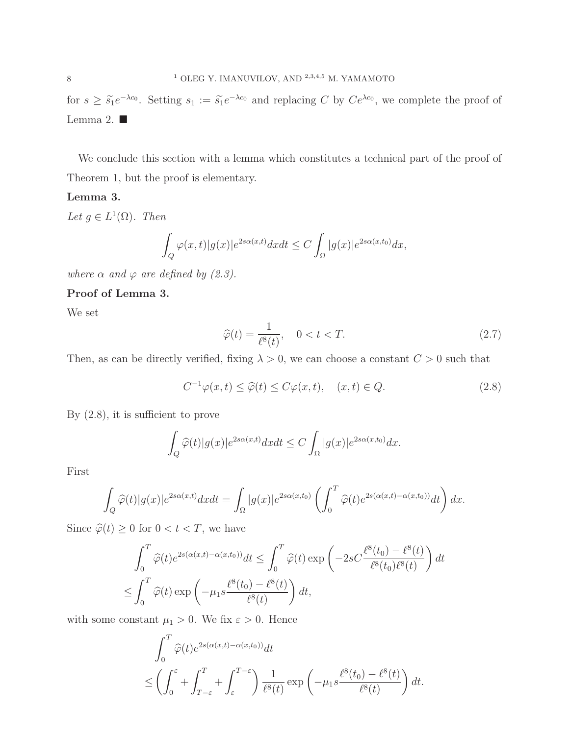for  $s \geq \tilde{s}_1 e^{-\lambda c_0}$ . Setting  $s_1 := \tilde{s}_1 e^{-\lambda c_0}$  and replacing C by  $Ce^{\lambda c_0}$ , we complete the proof of Lemma 2.  $\blacksquare$ 

We conclude this section with a lemma which constitutes a technical part of the proof of Theorem 1, but the proof is elementary.

#### Lemma 3.

Let  $g \in L^1(\Omega)$ . Then

$$
\int_{Q} \varphi(x,t)|g(x)|e^{2s\alpha(x,t)}dxdt \leq C \int_{\Omega} |g(x)|e^{2s\alpha(x,t_0)}dx,
$$

where  $\alpha$  and  $\varphi$  are defined by (2.3).

Proof of Lemma 3.

We set

$$
\widehat{\varphi}(t) = \frac{1}{\ell^8(t)}, \quad 0 < t < T. \tag{2.7}
$$

Then, as can be directly verified, fixing  $\lambda > 0$ , we can choose a constant  $C > 0$  such that

$$
C^{-1}\varphi(x,t) \le \widehat{\varphi}(t) \le C\varphi(x,t), \quad (x,t) \in Q. \tag{2.8}
$$

By (2.8), it is sufficient to prove

$$
\int_{Q} \widehat{\varphi}(t)|g(x)|e^{2s\alpha(x,t)}dxdt \leq C \int_{\Omega} |g(x)|e^{2s\alpha(x,t_0)}dx.
$$

First

$$
\int_{Q} \widehat{\varphi}(t) |g(x)| e^{2s\alpha(x,t)} dx dt = \int_{\Omega} |g(x)| e^{2s\alpha(x,t_0)} \left( \int_0^T \widehat{\varphi}(t) e^{2s(\alpha(x,t) - \alpha(x,t_0))} dt \right) dx.
$$

Since  $\widehat{\varphi}(t) \geq 0$  for  $0 < t < T$ , we have

$$
\int_0^T \widehat{\varphi}(t) e^{2s(\alpha(x,t) - \alpha(x,t_0))} dt \le \int_0^T \widehat{\varphi}(t) \exp\left(-2sC \frac{\ell^8(t_0) - \ell^8(t)}{\ell^8(t_0)\ell^8(t)}\right) dt
$$
  

$$
\le \int_0^T \widehat{\varphi}(t) \exp\left(-\mu_1 s \frac{\ell^8(t_0) - \ell^8(t)}{\ell^8(t)}\right) dt,
$$

with some constant  $\mu_1 > 0$ . We fix  $\varepsilon > 0$ . Hence

$$
\int_0^T \widehat{\varphi}(t) e^{2s(\alpha(x,t) - \alpha(x,t_0))} dt
$$
  
 
$$
\leq \left( \int_0^{\varepsilon} + \int_{T-\varepsilon}^T + \int_{\varepsilon}^{T-\varepsilon} \right) \frac{1}{\ell^8(t)} \exp\left(-\mu_1 s \frac{\ell^8(t_0) - \ell^8(t)}{\ell^8(t)}\right) dt.
$$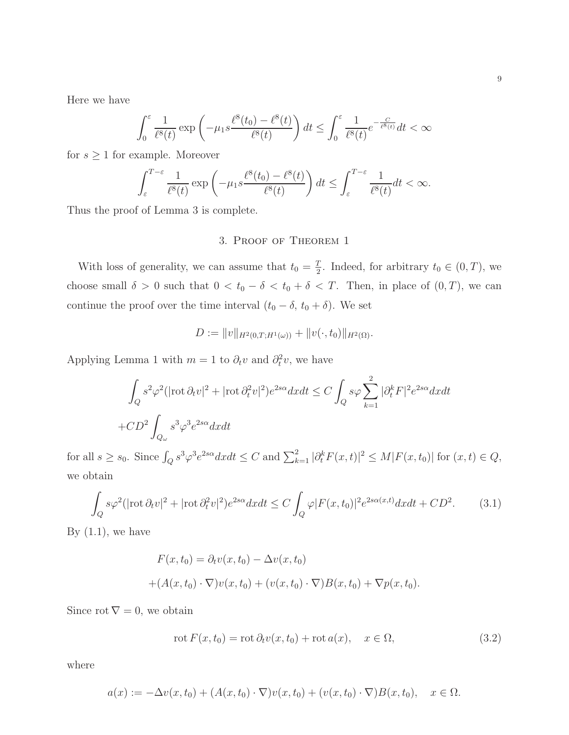Here we have

$$
\int_0^{\varepsilon} \frac{1}{\ell^8(t)} \exp\left(-\mu_1 s \frac{\ell^8(t_0) - \ell^8(t)}{\ell^8(t)}\right) dt \le \int_0^{\varepsilon} \frac{1}{\ell^8(t)} e^{-\frac{C}{\ell^8(t)}} dt < \infty
$$

for  $s \geq 1$  for example. Moreover

$$
\int_{\varepsilon}^{T-\varepsilon} \frac{1}{\ell^8(t)} \exp\left(-\mu_1 s \frac{\ell^8(t_0) - \ell^8(t)}{\ell^8(t)}\right) dt \le \int_{\varepsilon}^{T-\varepsilon} \frac{1}{\ell^8(t)} dt < \infty.
$$

Thus the proof of Lemma 3 is complete.

## 3. Proof of Theorem 1

With loss of generality, we can assume that  $t_0 = \frac{T}{2}$  $\frac{T}{2}$ . Indeed, for arbitrary  $t_0 \in (0, T)$ , we choose small  $\delta > 0$  such that  $0 < t_0 - \delta < t_0 + \delta < T$ . Then, in place of  $(0, T)$ , we can continue the proof over the time interval  $(t_0 - \delta, t_0 + \delta)$ . We set

$$
D := ||v||_{H^2(0,T;H^1(\omega))} + ||v(\cdot,t_0)||_{H^2(\Omega)}.
$$

Applying Lemma 1 with  $m = 1$  to  $\partial_t v$  and  $\partial_t^2 v$ , we have

$$
\int_{Q} s^{2} \varphi^{2} (|\text{rot}\,\partial_{t}v|^{2} + |\text{rot}\,\partial_{t}^{2}v|^{2}) e^{2s\alpha} dxdt \leq C \int_{Q} s\varphi \sum_{k=1}^{2} |\partial_{t}^{k}F|^{2} e^{2s\alpha} dxdt
$$
  
+ 
$$
CD^{2} \int_{Q_{\omega}} s^{3} \varphi^{3} e^{2s\alpha} dxdt
$$

for all  $s \geq s_0$ . Since  $\int_Q s^3 \varphi^3 e^{2s\alpha} dx dt \leq C$  and  $\sum_{k=1}^2 |\partial_t^k F(x,t)|^2 \leq M |F(x,t_0)|$  for  $(x,t) \in Q$ , we obtain

$$
\int_{Q} s\varphi^2 (|\text{rot}\,\partial_t v|^2 + |\text{rot}\,\partial_t^2 v|^2) e^{2s\alpha} dx dt \le C \int_{Q} \varphi |F(x,t_0)|^2 e^{2s\alpha(x,t)} dx dt + CD^2.
$$
 (3.1)

By  $(1.1)$ , we have

$$
F(x,t_0) = \partial_t v(x,t_0) - \Delta v(x,t_0)
$$
  
+ 
$$
(A(x,t_0) \cdot \nabla)v(x,t_0) + (v(x,t_0) \cdot \nabla)B(x,t_0) + \nabla p(x,t_0).
$$

Since rot  $\nabla = 0$ , we obtain

$$
\operatorname{rot} F(x, t_0) = \operatorname{rot} \partial_t v(x, t_0) + \operatorname{rot} a(x), \quad x \in \Omega,
$$
\n(3.2)

where

$$
a(x) := -\Delta v(x, t_0) + (A(x, t_0) \cdot \nabla) v(x, t_0) + (v(x, t_0) \cdot \nabla) B(x, t_0), \quad x \in \Omega.
$$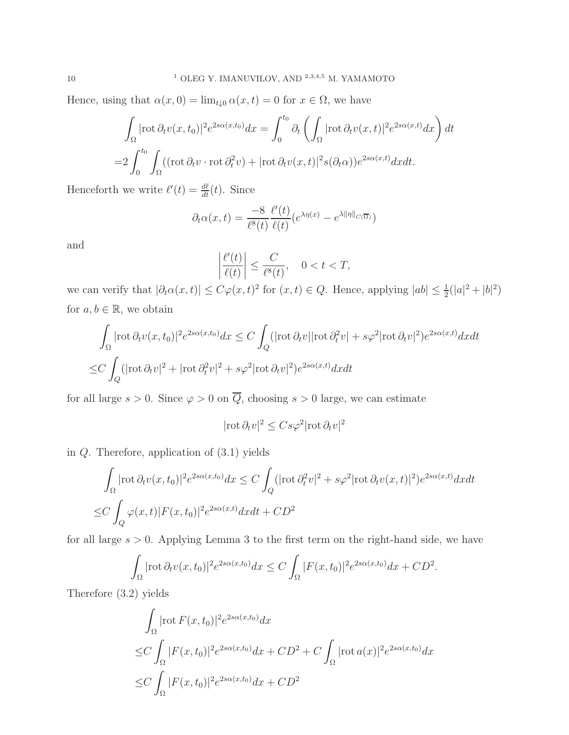Hence, using that  $\alpha(x, 0) = \lim_{t \downarrow 0} \alpha(x, t) = 0$  for  $x \in \Omega$ , we have

$$
\int_{\Omega} |\text{rot}\,\partial_t v(x,t_0)|^2 e^{2s\alpha(x,t_0)} dx = \int_0^{t_0} \partial_t \left( \int_{\Omega} |\text{rot}\,\partial_t v(x,t)|^2 e^{2s\alpha(x,t)} dx \right) dt
$$
  
= 
$$
2 \int_0^{t_0} \int_{\Omega} ((\text{rot}\,\partial_t v \cdot \text{rot}\,\partial_t^2 v) + |\text{rot}\,\partial_t v(x,t)|^2 s(\partial_t \alpha)) e^{2s\alpha(x,t)} dx dt.
$$

Henceforth we write  $\ell'(t) = \frac{d\ell}{dt}(t)$ . Since

$$
\partial_t \alpha(x,t) = \frac{-8}{\ell^8(t)} \frac{\ell'(t)}{\ell(t)} \left( e^{\lambda \eta(x)} - e^{\lambda ||\eta||_{C(\overline{\Omega})}} \right)
$$

and

$$
\left|\frac{\ell'(t)}{\ell(t)}\right| \le \frac{C}{\ell^8(t)}, \quad 0 < t < T,
$$

we can verify that  $|\partial_t \alpha(x,t)| \leq C\varphi(x,t)^2$  for  $(x,t) \in Q$ . Hence, applying  $|ab| \leq \frac{1}{2}(|a|^2 + |b|^2)$ for  $a, b \in \mathbb{R}$ , we obtain

$$
\int_{\Omega} |\text{rot}\,\partial_t v(x,t_0)|^2 e^{2s\alpha(x,t_0)} dx \le C \int_{Q} (|\text{rot}\,\partial_t v| |\text{rot}\,\partial_t^2 v| + s\varphi^2 |\text{rot}\,\partial_t v|^2) e^{2s\alpha(x,t)} dx dt
$$
  

$$
\le C \int_{Q} (|\text{rot}\,\partial_t v|^2 + |\text{rot}\,\partial_t^2 v|^2 + s\varphi^2 |\text{rot}\,\partial_t v|^2) e^{2s\alpha(x,t)} dx dt
$$

for all large  $s > 0$ . Since  $\varphi > 0$  on  $\overline{Q}$ , choosing  $s > 0$  large, we can estimate

$$
|\mathrm{rot}\,\partial_t v|^2 \leq C s \varphi^2 |\mathrm{rot}\,\partial_t v|^2
$$

in Q. Therefore, application of (3.1) yields

$$
\int_{\Omega} |\text{rot}\,\partial_t v(x,t_0)|^2 e^{2s\alpha(x,t_0)} dx \le C \int_{Q} (|\text{rot}\,\partial_t^2 v|^2 + s\varphi^2 |\text{rot}\,\partial_t v(x,t)|^2) e^{2s\alpha(x,t)} dx dt
$$
  
\n
$$
\le C \int_{Q} \varphi(x,t) |F(x,t_0)|^2 e^{2s\alpha(x,t)} dx dt + CD^2
$$

for all large  $s > 0$ . Applying Lemma 3 to the first term on the right-hand side, we have

$$
\int_{\Omega} |\text{rot}\,\partial_t v(x,t_0)|^2 e^{2s\alpha(x,t_0)} dx \leq C \int_{\Omega} |F(x,t_0)|^2 e^{2s\alpha(x,t_0)} dx + CD^2.
$$

Therefore (3.2) yields

$$
\int_{\Omega} |\operatorname{rot} F(x, t_0)|^2 e^{2s\alpha(x, t_0)} dx
$$
\n
$$
\leq C \int_{\Omega} |F(x, t_0)|^2 e^{2s\alpha(x, t_0)} dx + CD^2 + C \int_{\Omega} |\operatorname{rot} a(x)|^2 e^{2s\alpha(x, t_0)} dx
$$
\n
$$
\leq C \int_{\Omega} |F(x, t_0)|^2 e^{2s\alpha(x, t_0)} dx + CD^2
$$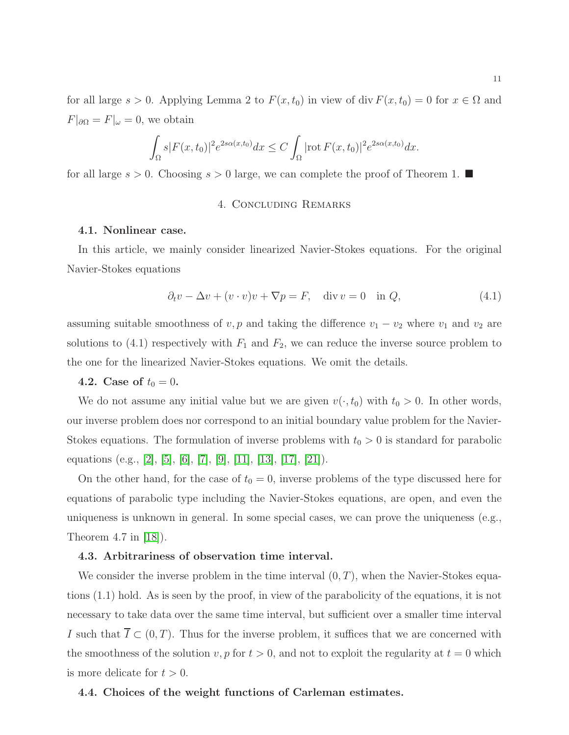for all large  $s > 0$ . Applying Lemma 2 to  $F(x, t_0)$  in view of div  $F(x, t_0) = 0$  for  $x \in \Omega$  and  $F|_{\partial\Omega} = F|_{\omega} = 0$ , we obtain

$$
\int_{\Omega} s|F(x,t_0)|^2 e^{2s\alpha(x,t_0)}dx \leq C\int_{\Omega} |\text{rot}\,F(x,t_0)|^2 e^{2s\alpha(x,t_0)}dx.
$$

for all large  $s > 0$ . Choosing  $s > 0$  large, we can complete the proof of Theorem 1.

## 4. Concluding Remarks

#### 4.1. Nonlinear case.

In this article, we mainly consider linearized Navier-Stokes equations. For the original Navier-Stokes equations

$$
\partial_t v - \Delta v + (v \cdot v)v + \nabla p = F, \quad \text{div } v = 0 \quad \text{in } Q,
$$
\n(4.1)

assuming suitable smoothness of  $v, p$  and taking the difference  $v_1 - v_2$  where  $v_1$  and  $v_2$  are solutions to  $(4.1)$  respectively with  $F_1$  and  $F_2$ , we can reduce the inverse source problem to the one for the linearized Navier-Stokes equations. We omit the details.

## 4.2. Case of  $t_0 = 0$ .

We do not assume any initial value but we are given  $v(\cdot, t_0)$  with  $t_0 > 0$ . In other words, our inverse problem does nor correspond to an initial boundary value problem for the Navier-Stokes equations. The formulation of inverse problems with  $t_0 > 0$  is standard for parabolic equations (e.g., [\[2\]](#page-13-9), [\[5\]](#page-13-1), [\[6\]](#page-13-10), [\[7\]](#page-13-11), [\[9\]](#page-13-5), [\[11\]](#page-13-12), [\[13\]](#page-13-0), [\[17\]](#page-13-7), [\[21\]](#page-14-1)).

On the other hand, for the case of  $t_0 = 0$ , inverse problems of the type discussed here for equations of parabolic type including the Navier-Stokes equations, are open, and even the uniqueness is unknown in general. In some special cases, we can prove the uniqueness (e.g., Theorem 4.7 in [\[18\]](#page-13-8)).

#### 4.3. Arbitrariness of observation time interval.

We consider the inverse problem in the time interval  $(0, T)$ , when the Navier-Stokes equations (1.1) hold. As is seen by the proof, in view of the parabolicity of the equations, it is not necessary to take data over the same time interval, but sufficient over a smaller time interval I such that  $\overline{I} \subset (0,T)$ . Thus for the inverse problem, it suffices that we are concerned with the smoothness of the solution v, p for  $t > 0$ , and not to exploit the regularity at  $t = 0$  which is more delicate for  $t > 0$ .

#### 4.4. Choices of the weight functions of Carleman estimates.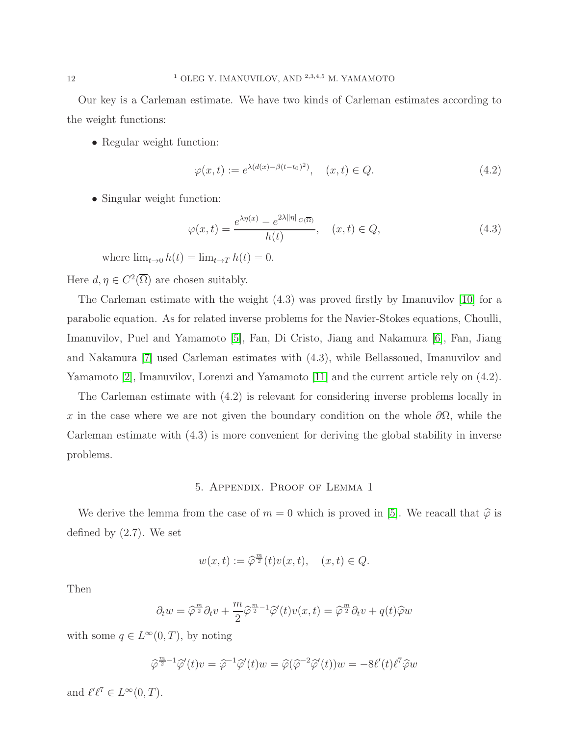Our key is a Carleman estimate. We have two kinds of Carleman estimates according to the weight functions:

• Regular weight function:

$$
\varphi(x,t) := e^{\lambda(d(x) - \beta(t - t_0)^2)}, \quad (x,t) \in Q.
$$
\n(4.2)

• Singular weight function:

$$
\varphi(x,t) = \frac{e^{\lambda \eta(x)} - e^{2\lambda \|\eta\|_{C(\overline{\Omega})}}}{h(t)}, \quad (x,t) \in Q,
$$
\n(4.3)

where  $\lim_{t\to 0} h(t) = \lim_{t\to T} h(t) = 0.$ 

Here  $d, \eta \in C^2(\overline{\Omega})$  are chosen suitably.

The Carleman estimate with the weight (4.3) was proved firstly by Imanuvilov [\[10\]](#page-13-16) for a parabolic equation. As for related inverse problems for the Navier-Stokes equations, Choulli, Imanuvilov, Puel and Yamamoto [\[5\]](#page-13-1), Fan, Di Cristo, Jiang and Nakamura [\[6\]](#page-13-10), Fan, Jiang and Nakamura [\[7\]](#page-13-11) used Carleman estimates with (4.3), while Bellassoued, Imanuvilov and Yamamoto [\[2\]](#page-13-9), Imanuvilov, Lorenzi and Yamamoto [\[11\]](#page-13-12) and the current article rely on (4.2).

The Carleman estimate with (4.2) is relevant for considering inverse problems locally in x in the case where we are not given the boundary condition on the whole  $\partial\Omega$ , while the Carleman estimate with (4.3) is more convenient for deriving the global stability in inverse problems.

## 5. Appendix. Proof of Lemma 1

We derive the lemma from the case of  $m = 0$  which is proved in [\[5\]](#page-13-1). We reacall that  $\hat{\varphi}$  is defined by (2.7). We set

$$
w(x,t) := \widehat{\varphi}^{\frac{m}{2}}(t)v(x,t), \quad (x,t) \in Q.
$$

Then

$$
\partial_t w = \widehat{\varphi}^{\frac{m}{2}} \partial_t v + \frac{m}{2} \widehat{\varphi}^{\frac{m}{2}-1} \widehat{\varphi}'(t) v(x, t) = \widehat{\varphi}^{\frac{m}{2}} \partial_t v + q(t) \widehat{\varphi} w
$$

with some  $q \in L^{\infty}(0,T)$ , by noting

$$
\widehat{\varphi}^{\frac{m}{2}-1}\widehat{\varphi}'(t)v = \widehat{\varphi}^{-1}\widehat{\varphi}'(t)w = \widehat{\varphi}(\widehat{\varphi}^{-2}\widehat{\varphi}'(t))w = -8\ell'(t)\ell^7\widehat{\varphi}w
$$

and  $\ell'\ell^7 \in L^\infty(0,T)$ .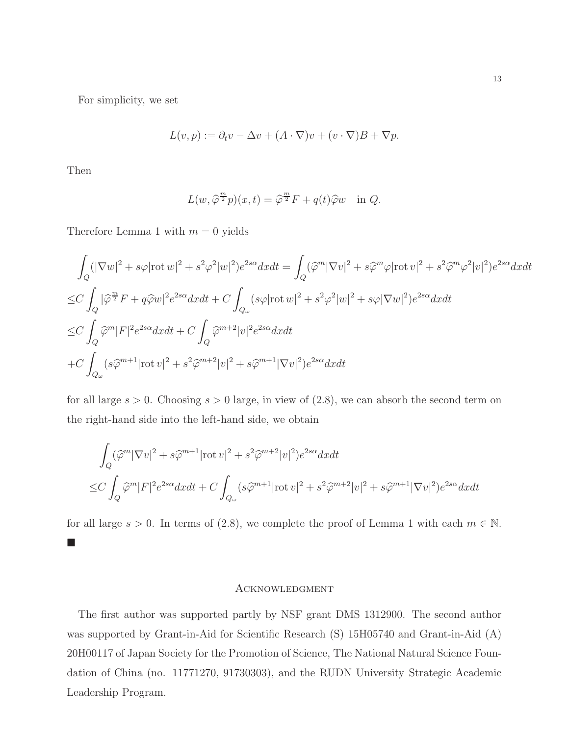For simplicity, we set

$$
L(v, p) := \partial_t v - \Delta v + (A \cdot \nabla)v + (v \cdot \nabla)B + \nabla p.
$$

Then

$$
L(w, \hat{\varphi}^{\frac{m}{2}} p)(x, t) = \hat{\varphi}^{\frac{m}{2}} F + q(t) \hat{\varphi} w \quad \text{in } Q.
$$

Therefore Lemma 1 with  $m = 0$  yields

$$
\int_{Q} (|\nabla w|^{2} + s\varphi |\text{rot } w|^{2} + s^{2}\varphi^{2}|w|^{2})e^{2s\alpha}dxdt = \int_{Q} (\widehat{\varphi}^{m}|\nabla v|^{2} + s\widehat{\varphi}^{m}\varphi |\text{rot } v|^{2} + s^{2}\widehat{\varphi}^{m}\varphi^{2}|v|^{2})e^{2s\alpha}dxdt
$$
  
\n
$$
\leq C \int_{Q} |\widehat{\varphi}^{m}_{2}F + q\widehat{\varphi}w|^{2}e^{2s\alpha}dxdt + C \int_{Q_{\omega}} (s\varphi |\text{rot } w|^{2} + s^{2}\varphi^{2}|w|^{2} + s\varphi|\nabla w|^{2})e^{2s\alpha}dxdt
$$
  
\n
$$
\leq C \int_{Q} \widehat{\varphi}^{m}|F|^{2}e^{2s\alpha}dxdt + C \int_{Q} \widehat{\varphi}^{m+2}|v|^{2}e^{2s\alpha}dxdt
$$
  
\n
$$
+ C \int_{Q_{\omega}} (s\widehat{\varphi}^{m+1}|\text{rot } v|^{2} + s^{2}\widehat{\varphi}^{m+2}|v|^{2} + s\widehat{\varphi}^{m+1}|\nabla v|^{2})e^{2s\alpha}dxdt
$$

for all large  $s > 0$ . Choosing  $s > 0$  large, in view of  $(2.8)$ , we can absorb the second term on the right-hand side into the left-hand side, we obtain

$$
\int_{Q} (\widehat{\varphi}^{m} |\nabla v|^{2} + s \widehat{\varphi}^{m+1} |\text{rot } v|^{2} + s^{2} \widehat{\varphi}^{m+2} |v|^{2}) e^{2s\alpha} dxdt
$$
  
\n
$$
\leq C \int_{Q} \widehat{\varphi}^{m} |F|^{2} e^{2s\alpha} dxdt + C \int_{Q_{\omega}} (s \widehat{\varphi}^{m+1} |\text{rot } v|^{2} + s^{2} \widehat{\varphi}^{m+2} |v|^{2} + s \widehat{\varphi}^{m+1} |\nabla v|^{2}) e^{2s\alpha} dxdt
$$

for all large  $s > 0$ . In terms of (2.8), we complete the proof of Lemma 1 with each  $m \in \mathbb{N}$ .  $\mathcal{L}_{\mathcal{A}}$ 

### **ACKNOWLEDGMENT**

The first author was supported partly by NSF grant DMS 1312900. The second author was supported by Grant-in-Aid for Scientific Research (S) 15H05740 and Grant-in-Aid (A) 20H00117 of Japan Society for the Promotion of Science, The National Natural Science Foundation of China (no. 11771270, 91730303), and the RUDN University Strategic Academic Leadership Program.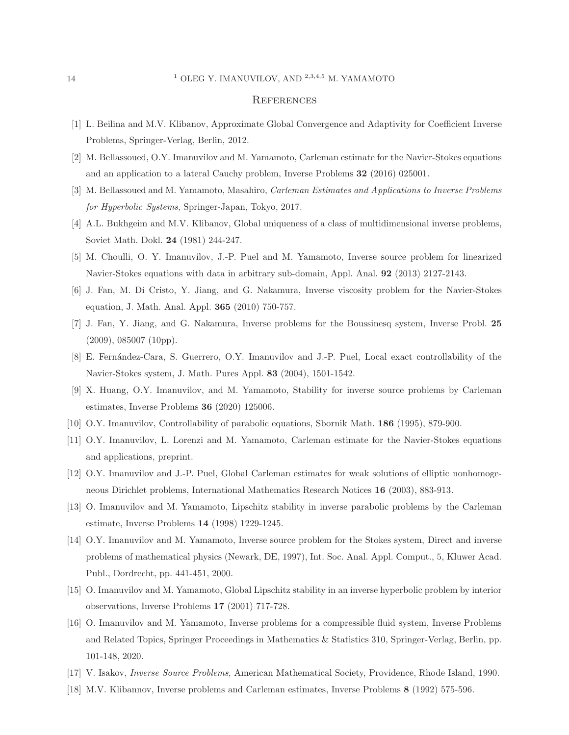#### <span id="page-13-3"></span><sup>1</sup> OLEG Y. IMANUVILOV, AND <sup>2,3,4,5</sup> M. YAMAMOTO

#### **REFERENCES**

- <span id="page-13-9"></span>[1] L. Beilina and M.V. Klibanov, Approximate Global Convergence and Adaptivity for Coefficient Inverse Problems, Springer-Verlag, Berlin, 2012.
- <span id="page-13-4"></span>[2] M. Bellassoued, O.Y. Imanuvilov and M. Yamamoto, Carleman estimate for the Navier-Stokes equations and an application to a lateral Cauchy problem, Inverse Problems 32 (2016) 025001.
- <span id="page-13-2"></span>[3] M. Bellassoued and M. Yamamoto, Masahiro, Carleman Estimates and Applications to Inverse Problems for Hyperbolic Systems, Springer-Japan, Tokyo, 2017.
- <span id="page-13-1"></span>[4] A.L. Bukhgeim and M.V. Klibanov, Global uniqueness of a class of multidimensional inverse problems, Soviet Math. Dokl. 24 (1981) 244-247.
- <span id="page-13-10"></span>[5] M. Choulli, O. Y. Imanuvilov, J.-P. Puel and M. Yamamoto, Inverse source problem for linearized Navier-Stokes equations with data in arbitrary sub-domain, Appl. Anal. 92 (2013) 2127-2143.
- <span id="page-13-11"></span>[6] J. Fan, M. Di Cristo, Y. Jiang, and G. Nakamura, Inverse viscosity problem for the Navier-Stokes equation, J. Math. Anal. Appl. 365 (2010) 750-757.
- <span id="page-13-15"></span>[7] J. Fan, Y. Jiang, and G. Nakamura, Inverse problems for the Boussinesq system, Inverse Probl. 25  $(2009)$ , 085007  $(10pp)$ .
- <span id="page-13-5"></span>[8] E. Fernández-Cara, S. Guerrero, O.Y. Imanuvilov and J.-P. Puel, Local exact controllability of the Navier-Stokes system, J. Math. Pures Appl. 83 (2004), 1501-1542.
- <span id="page-13-16"></span>[9] X. Huang, O.Y. Imanuvilov, and M. Yamamoto, Stability for inverse source problems by Carleman estimates, Inverse Problems 36 (2020) 125006.
- <span id="page-13-12"></span>[10] O.Y. Imanuvilov, Controllability of parabolic equations, Sbornik Math. 186 (1995), 879-900.
- <span id="page-13-17"></span>[11] O.Y. Imanuvilov, L. Lorenzi and M. Yamamoto, Carleman estimate for the Navier-Stokes equations and applications, preprint.
- <span id="page-13-0"></span>[12] O.Y. Imanuvilov and J.-P. Puel, Global Carleman estimates for weak solutions of elliptic nonhomogeneous Dirichlet problems, International Mathematics Research Notices 16 (2003), 883-913.
- <span id="page-13-13"></span>[13] O. Imanuvilov and M. Yamamoto, Lipschitz stability in inverse parabolic problems by the Carleman estimate, Inverse Problems 14 (1998) 1229-1245.
- [14] O.Y. Imanuvilov and M. Yamamoto, Inverse source problem for the Stokes system, Direct and inverse problems of mathematical physics (Newark, DE, 1997), Int. Soc. Anal. Appl. Comput., 5, Kluwer Acad. Publ., Dordrecht, pp. 441-451, 2000.
- <span id="page-13-14"></span><span id="page-13-6"></span>[15] O. Imanuvilov and M. Yamamoto, Global Lipschitz stability in an inverse hyperbolic problem by interior observations, Inverse Problems 17 (2001) 717-728.
- [16] O. Imanuvilov and M. Yamamoto, Inverse problems for a compressible fluid system, Inverse Problems and Related Topics, Springer Proceedings in Mathematics & Statistics 310, Springer-Verlag, Berlin, pp. 101-148, 2020.
- <span id="page-13-8"></span><span id="page-13-7"></span>[17] V. Isakov, Inverse Source Problems, American Mathematical Society, Providence, Rhode Island, 1990.
- [18] M.V. Klibannov, Inverse problems and Carleman estimates, Inverse Problems 8 (1992) 575-596.